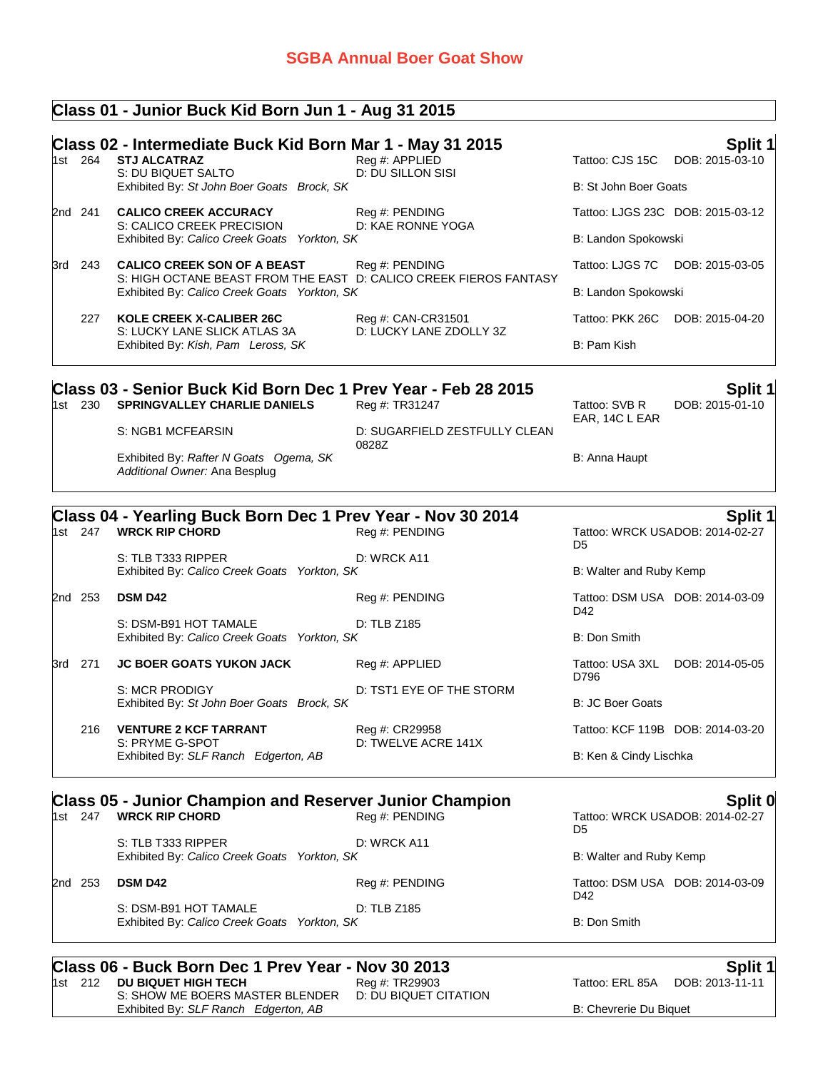### **Class 01 - Junior Buck Kid Born Jun 1 - Aug 31 2015**

|                                                                                                                   | Class 02 - Intermediate Buck Kid Born Mar 1 - May 31 2015<br>1st 264 STJ ALCATRAZ<br>S: DU BIQUET SALTO | Reg #: APPLIED<br>D: DU SILLON SISI   | Tattoo: CJS 15C         | Split 1<br>DOB: 2015-03-10                 |
|-------------------------------------------------------------------------------------------------------------------|---------------------------------------------------------------------------------------------------------|---------------------------------------|-------------------------|--------------------------------------------|
|                                                                                                                   | Exhibited By: St John Boer Goats Brock, SK                                                              |                                       | B: St John Boer Goats   |                                            |
| 2nd 241                                                                                                           | <b>CALICO CREEK ACCURACY</b><br>S: CALICO CREEK PRECISION                                               | Reg #: PENDING<br>D: KAE RONNE YOGA   |                         | Tattoo: LJGS 23C DOB: 2015-03-12           |
|                                                                                                                   | Exhibited By: Calico Creek Goats Yorkton, SK                                                            |                                       | B: Landon Spokowski     |                                            |
| 3rd 243                                                                                                           | <b>CALICO CREEK SON OF A BEAST</b>                                                                      | Reg #: PENDING                        | Tattoo: LJGS 7C         | DOB: 2015-03-05                            |
| S: HIGH OCTANE BEAST FROM THE EAST D: CALICO CREEK FIEROS FANTASY<br>Exhibited By: Calico Creek Goats Yorkton, SK |                                                                                                         |                                       | B: Landon Spokowski     |                                            |
| 227                                                                                                               | <b>KOLE CREEK X-CALIBER 26C</b>                                                                         | Reg #: CAN-CR31501                    |                         | Tattoo: PKK 26C DOB: 2015-04-20            |
|                                                                                                                   | S: LUCKY LANE SLICK ATLAS 3A<br>Exhibited By: Kish, Pam Leross, SK                                      | D: LUCKY LANE ZDOLLY 3Z               | B: Pam Kish             |                                            |
| 1st 230                                                                                                           | Class 03 - Senior Buck Kid Born Dec 1 Prev Year - Feb 28 2015<br><b>SPRINGVALLEY CHARLIE DANIELS</b>    | Reg #: TR31247                        | Tattoo: SVB R           | Split 1<br>DOB: 2015-01-10                 |
|                                                                                                                   | S: NGB1 MCFEARSIN                                                                                       | D: SUGARFIELD ZESTFULLY CLEAN         | EAR, 14C L EAR          |                                            |
|                                                                                                                   | Exhibited By: Rafter N Goats Ogema, SK<br>Additional Owner: Ana Besplug                                 | 0828Z                                 | B: Anna Haupt           |                                            |
|                                                                                                                   | Class 04 - Yearling Buck Born Dec 1 Prev Year - Nov 30 2014                                             |                                       |                         | Split 1                                    |
| 1st 247                                                                                                           | <b>WRCK RIP CHORD</b>                                                                                   | Reg #: PENDING                        | D <sub>5</sub>          | Tattoo: WRCK USADOB: 2014-02-27            |
|                                                                                                                   | S: TLB T333 RIPPER<br>Exhibited By: Calico Creek Goats Yorkton, SK                                      | D: WRCK A11                           | B: Walter and Ruby Kemp |                                            |
| 2nd 253                                                                                                           | <b>DSM D42</b>                                                                                          | Reg #: PENDING                        | D42                     | Tattoo: DSM USA DOB: 2014-03-09            |
|                                                                                                                   | S: DSM-B91 HOT TAMALE<br>Exhibited By: Calico Creek Goats Yorkton, SK                                   | D: TLB Z185                           | B: Don Smith            |                                            |
| 3rd 271                                                                                                           | <b>JC BOER GOATS YUKON JACK</b>                                                                         | Reg #: APPLIED                        | D796                    | Tattoo: USA 3XL DOB: 2014-05-05            |
|                                                                                                                   | S: MCR PRODIGY<br>Exhibited By: St John Boer Goats Brock, SK                                            | D: TST1 EYE OF THE STORM              | B: JC Boer Goats        |                                            |
| 216                                                                                                               | <b>VENTURE 2 KCF TARRANT</b><br>S: PRYME G-SPOT                                                         | Reg #: CR29958<br>D: TWELVE ACRE 141X |                         | Tattoo: KCF 119B DOB: 2014-03-20           |
|                                                                                                                   | Exhibited By: SLF Ranch Edgerton, AB                                                                    |                                       | B: Ken & Cindy Lischka  |                                            |
| 1st 247                                                                                                           | <b>Class 05 - Junior Champion and Reserver Junior Champion</b><br><b>WRCK RIP CHORD</b>                 | Reg #: PENDING                        | D <sub>5</sub>          | Split 0<br>Tattoo: WRCK USADOB: 2014-02-27 |
|                                                                                                                   | S: TLB T333 RIPPER<br>Exhibited By: Calico Creek Goats Yorkton, SK                                      | D: WRCK A11                           | B: Walter and Ruby Kemp |                                            |
| 2nd 253                                                                                                           | <b>DSM D42</b>                                                                                          | Reg #: PENDING                        |                         | Tattoo: DSM USA DOB: 2014-03-09            |
|                                                                                                                   | S: DSM-B91 HOT TAMALE                                                                                   | D: TLB Z185                           | D42                     |                                            |

Exhibited By: *Calico Creek Goats Yorkton, SK* B: Don Smith

# **Class 06 - Buck Born Dec 1 Prev Year - Nov 30 2013 Split 1 Split 1 Split 1 Split 1 Split 1 Split 1 Split 1 Split 1 Split 1 Split 1 Split 1 Split 1 Split 1 Split 1 Split 1 Split 1 Split 1**

| 1st 212 | DU BIQUET HIGH TECH                  |
|---------|--------------------------------------|
|         | S: SHOW ME BOERS MASTER BLENDER      |
|         | Exhibited By: SLF Ranch Edgerton, AB |

D: DU BIQUET CITATION

Tattoo: ERL 85A DOB: 2013-11-11

B: Chevrerie Du Biquet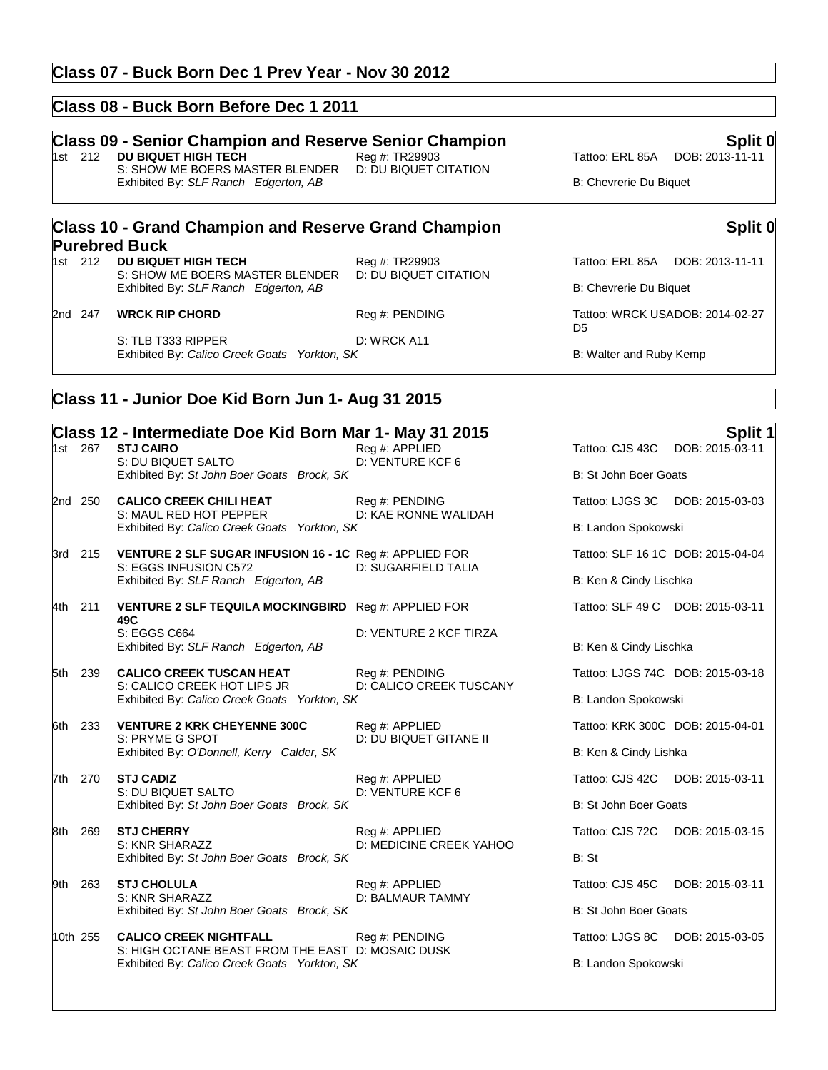#### **Class 07 - Buck Born Dec 1 Prev Year - Nov 30 2012**

#### **Class 08 - Buck Born Before Dec 1 2011**

## **Class 09 - Senior Champion and Reserve Senior Champion**<br>1st 212 DU BIQUET HIGH TECH **Reg#: TR29903 Reg #: TR29903** Tattoo: ERL 85A DOB: 2013-11-11

**Class 10 - Grand Champion and Reserve Grand Champion** 

S: SHOW ME BOERS MASTER BLENDER Exhibited By: *SLF Ranch Edgerton, AB* B: Chevrerie Du Biquet

**Purebred Buck**<br>1st 212 DU BIQUET HIGH TECH

1st 2013 **Property Concept 21 Tattoo: ERL 85A** DOB: 2013-11-11<br>
D: DU BIQUET CITATION

### **Split 0**

1st 212 **Propert 212 Tattoo: ERL 85A** DOB: 2013-11-11<br>
D: DU BIQUET CITATION

Exhibited By: *SLF Ranch Edgerton, AB* B: Chevrerie Du Biquet

D<sub>5</sub> Tattoo: WRCK USADOB: 2014-02-27

S: TLB T333 RIPPER D: WRCK A11 Exhibited By: *Calico Creek Goats Yorkton, SK* B: Walter and Ruby Kemp

2nd 247 **WRCK RIP CHORD** Reg #: PENDING

S: SHOW ME BOERS MASTER BLENDER

#### **Class 11 - Junior Doe Kid Born Jun 1- Aug 31 2015**

|     |                                                                             | Class 12 - Intermediate Doe Kid Born Mar 1- May 31 2015                            |                                                 |                                   | Split 1         |
|-----|-----------------------------------------------------------------------------|------------------------------------------------------------------------------------|-------------------------------------------------|-----------------------------------|-----------------|
|     | 1st 267                                                                     | <b>STJ CAIRO</b><br>S: DU BIQUET SALTO                                             | Reg #: APPLIED<br>D: VENTURE KCF 6              | Tattoo: CJS 43C DOB: 2015-03-11   |                 |
|     |                                                                             | Exhibited By: St John Boer Goats Brock, SK                                         |                                                 | B: St John Boer Goats             |                 |
|     | 2nd 250                                                                     | <b>CALICO CREEK CHILI HEAT</b><br>S: MAUL RED HOT PEPPER                           | Reg #: PENDING<br>D: KAE RONNE WALIDAH          | Tattoo: LJGS 3C DOB: 2015-03-03   |                 |
|     |                                                                             | Exhibited By: Calico Creek Goats Yorkton, SK                                       |                                                 | B: Landon Spokowski               |                 |
|     | 3rd 215                                                                     | VENTURE 2 SLF SUGAR INFUSION 16 - 1C Reg #: APPLIED FOR<br>S: EGGS INFUSION C572   | D: SUGARFIELD TALIA                             | Tattoo: SLF 16 1C DOB: 2015-04-04 |                 |
|     |                                                                             | Exhibited By: SLF Ranch Edgerton, AB                                               |                                                 | B: Ken & Cindy Lischka            |                 |
|     | 4th 211                                                                     | VENTURE 2 SLF TEQUILA MOCKINGBIRD Reg #: APPLIED FOR<br>49C                        |                                                 | Tattoo: SLF 49 C DOB: 2015-03-11  |                 |
|     |                                                                             | S: EGGS C664<br>Exhibited By: SLF Ranch Edgerton, AB                               | D: VENTURE 2 KCF TIRZA                          | B: Ken & Cindy Lischka            |                 |
|     | 5th 239                                                                     | <b>CALICO CREEK TUSCAN HEAT</b>                                                    | Reg #: PENDING<br>D: CALICO CREEK TUSCANY       | Tattoo: LJGS 74C DOB: 2015-03-18  |                 |
|     | S: CALICO CREEK HOT LIPS JR<br>Exhibited By: Calico Creek Goats Yorkton, SK |                                                                                    |                                                 | B: Landon Spokowski               |                 |
|     | 6th 233                                                                     | <b>VENTURE 2 KRK CHEYENNE 300C</b><br>S: PRYME G SPOT                              | Reg #: APPLIED<br><b>D: DU BIQUET GITANE II</b> | Tattoo: KRK 300C DOB: 2015-04-01  |                 |
|     |                                                                             | Exhibited By: O'Donnell, Kerry Calder, SK                                          |                                                 | B: Ken & Cindy Lishka             |                 |
|     | 7th 270                                                                     | <b>STJ CADIZ</b><br>S: DU BIQUET SALTO                                             | Reg #: APPLIED<br>D: VENTURE KCF 6              | Tattoo: CJS 42C DOB: 2015-03-11   |                 |
|     |                                                                             | Exhibited By: St John Boer Goats Brock, SK                                         |                                                 | B: St John Boer Goats             |                 |
|     | 8th 269                                                                     | <b>STJ CHERRY</b><br>S: KNR SHARAZZ                                                | Reg #: APPLIED<br>D: MEDICINE CREEK YAHOO       | Tattoo: CJS 72C                   | DOB: 2015-03-15 |
|     |                                                                             | Exhibited By: St John Boer Goats Brock, SK                                         |                                                 | B: St                             |                 |
| 9th | 263                                                                         | <b>STJ CHOLULA</b><br>S: KNR SHARAZZ                                               | Reg #: APPLIED<br>D: BALMAUR TAMMY              | Tattoo: CJS 45C                   | DOB: 2015-03-11 |
|     |                                                                             | Exhibited By: St John Boer Goats Brock, SK                                         |                                                 | B: St John Boer Goats             |                 |
|     | 10th 255                                                                    | <b>CALICO CREEK NIGHTFALL</b><br>S: HIGH OCTANE BEAST FROM THE EAST D: MOSAIC DUSK | Reg #: PENDING                                  | Tattoo: LJGS 8C DOB: 2015-03-05   |                 |
|     |                                                                             | Exhibited By: Calico Creek Goats Yorkton, SK                                       |                                                 | B: Landon Spokowski               |                 |
|     |                                                                             |                                                                                    |                                                 |                                   |                 |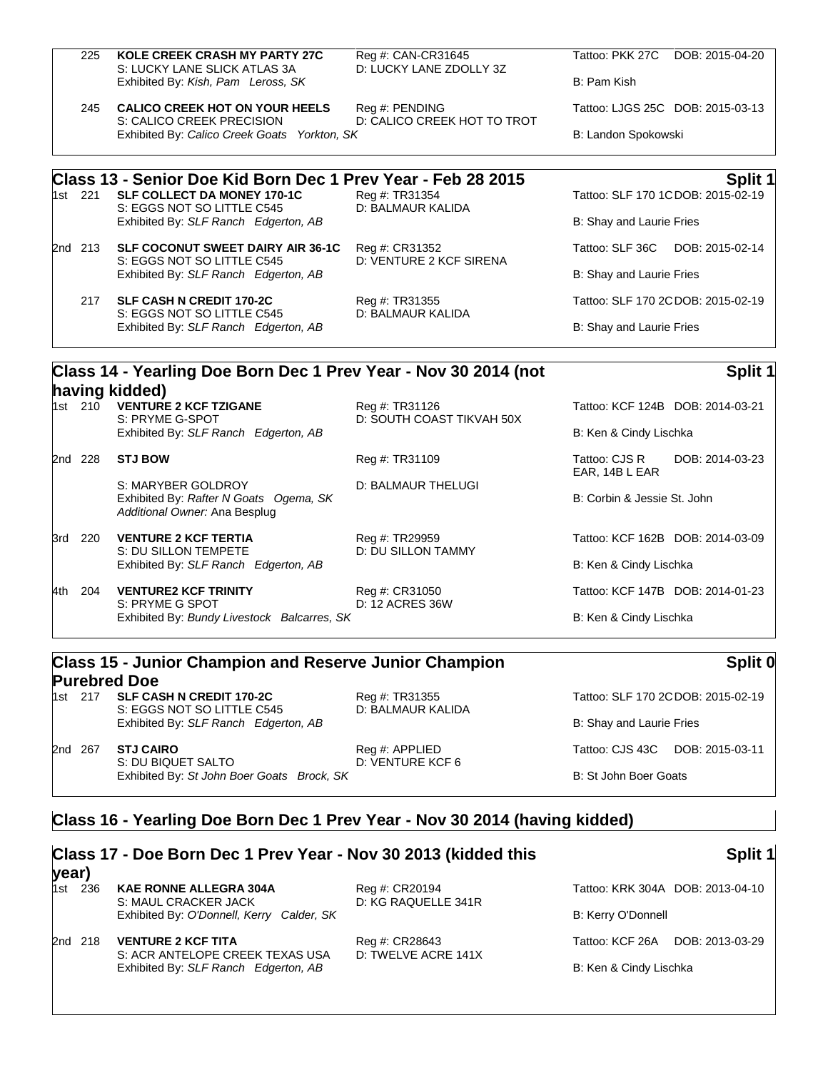| 225 |         | <b>KOLE CREEK CRASH MY PARTY 27C</b><br>S: LUCKY LANE SLICK ATLAS 3A                                 | Reg #: CAN-CR31645<br>D: LUCKY LANE ZDOLLY 3Z | Tattoo: PKK 27C<br>DOB: 2015-04-20                 |
|-----|---------|------------------------------------------------------------------------------------------------------|-----------------------------------------------|----------------------------------------------------|
|     |         | Exhibited By: Kish, Pam Leross, SK                                                                   |                                               | B: Pam Kish                                        |
|     | 245     | <b>CALICO CREEK HOT ON YOUR HEELS</b><br>S: CALICO CREEK PRECISION                                   | Reg #: PENDING<br>D: CALICO CREEK HOT TO TROT | Tattoo: LJGS 25C DOB: 2015-03-13                   |
|     |         | Exhibited By: Calico Creek Goats Yorkton, SK                                                         |                                               | B: Landon Spokowski                                |
|     |         | Class 13 - Senior Doe Kid Born Dec 1 Prev Year - Feb 28 2015                                         |                                               | Split 1                                            |
|     |         | 1st 221 SLF COLLECT DA MONEY 170-1C<br>S: EGGS NOT SO LITTLE C545                                    | Reg #: TR31354<br>D: BALMAUR KALIDA           | Tattoo: SLF 170 1CDOB: 2015-02-19                  |
|     |         | Exhibited By: SLF Ranch Edgerton, AB                                                                 |                                               | B: Shay and Laurie Fries                           |
|     | 2nd 213 | <b>SLF COCONUT SWEET DAIRY AIR 36-1C</b><br>S: EGGS NOT SO LITTLE C545                               | Reg #: CR31352<br>D: VENTURE 2 KCF SIRENA     | Tattoo: SLF 36C<br>DOB: 2015-02-14                 |
|     |         | Exhibited By: SLF Ranch Edgerton, AB                                                                 |                                               | B: Shay and Laurie Fries                           |
|     | 217     | <b>SLF CASH N CREDIT 170-2C</b><br>Reg #: TR31355<br>S: EGGS NOT SO LITTLE C545<br>D: BALMAUR KALIDA |                                               | Tattoo: SLF 170 2CDOB: 2015-02-19                  |
|     |         | Exhibited By: SLF Ranch Edgerton, AB                                                                 |                                               | B: Shay and Laurie Fries                           |
|     |         | Class 14 - Yearling Doe Born Dec 1 Prev Year - Nov 30 2014 (not                                      |                                               | Split 1                                            |
|     |         | having kidded)                                                                                       |                                               |                                                    |
|     | 1st 210 | <b>VENTURE 2 KCF TZIGANE</b><br>S: PRYME G-SPOT                                                      | Reg #: TR31126<br>D: SOUTH COAST TIKVAH 50X   | Tattoo: KCF 124B DOB: 2014-03-21                   |
|     |         | Exhibited By: SLF Ranch Edgerton, AB                                                                 |                                               | B: Ken & Cindy Lischka                             |
|     | 2nd 228 | <b>STJ BOW</b>                                                                                       | Reg #: TR31109                                | Tattoo: CJS R<br>DOB: 2014-03-23<br>EAR, 14B L EAR |
|     |         | S: MARYBER GOLDROY<br>Exhibited By: Rafter N Goats Ogema, SK<br>Additional Owner: Ana Besplug        | <b>D: BALMAUR THELUGI</b>                     | B: Corbin & Jessie St. John                        |
|     | 3rd 220 | <b>VENTURE 2 KCF TERTIA</b>                                                                          | Reg #: TR29959<br><b>ARAS</b>                 | Tattoo: KCF 162B DOB: 2014-03-09                   |

S: DU SILLON TEMPETE D: DU SILLON TAMMY Exhibited By: *SLF Ranch Edgerton, AB* B: Ken & Cindy Lischka

4th 204 **VENTURE2 KCF TRINITY** Reg #: CR31050 Tattoo: KCF 147B DOB: 2014-01-23<br>S: PRYME G SPOT **DELLEY AT ACRES 36W** S: PRYME G SPOT Exhibited By: *Bundy Livestock Balcarres, SK* B: Ken & Cindy Lischka

## **Class 15 - Junior Champion and Reserve Junior Champion Purebred Doe**<br>1st 217 SLF CASH N CREDIT 170-2C

S: EGGS NOT SO LITTLE C545 D: BALMAUR KALIDA Exhibited By: *SLF Ranch Edgerton, AB* B: Shay and Laurie Fries

2nd 267 **STJ CAIRO** Reg #: APPLIED Tattoo: CJS 43C DOB: 2015-03-11 S: DU BIQUET SALTO D: VENTURE KCF 6 Exhibited By: *St John Boer Goats Brock, SK* B: St John Boer Goats B: St John Boer Goats

Reg #: TR31355 Tattoo: SLF 170 2CDOB: 2015-02-19

**Split 0**

#### **Class 16 - Yearling Doe Born Dec 1 Prev Year - Nov 30 2014 (having kidded)**

| year) |         | Class 17 - Doe Born Dec 1 Prev Year - Nov 30 2013 (kidded this |                                       |                        | Split 1                          |
|-------|---------|----------------------------------------------------------------|---------------------------------------|------------------------|----------------------------------|
|       | 1st 236 | <b>KAE RONNE ALLEGRA 304A</b><br>S: MAUL CRACKER JACK          | Reg #: CR20194<br>D: KG RAQUELLE 341R |                        | Tattoo: KRK 304A DOB: 2013-04-10 |
|       |         | Exhibited By: O'Donnell, Kerry Calder, SK                      |                                       | B: Kerry O'Donnell     |                                  |
|       | 2nd 218 | <b>VENTURE 2 KCF TITA</b><br>S: ACR ANTELOPE CREEK TEXAS USA   | Reg #: CR28643<br>D: TWELVE ACRE 141X | Tattoo: KCF 26A        | DOB: 2013-03-29                  |
|       |         | Exhibited By: SLF Ranch Edgerton, AB                           |                                       | B: Ken & Cindy Lischka |                                  |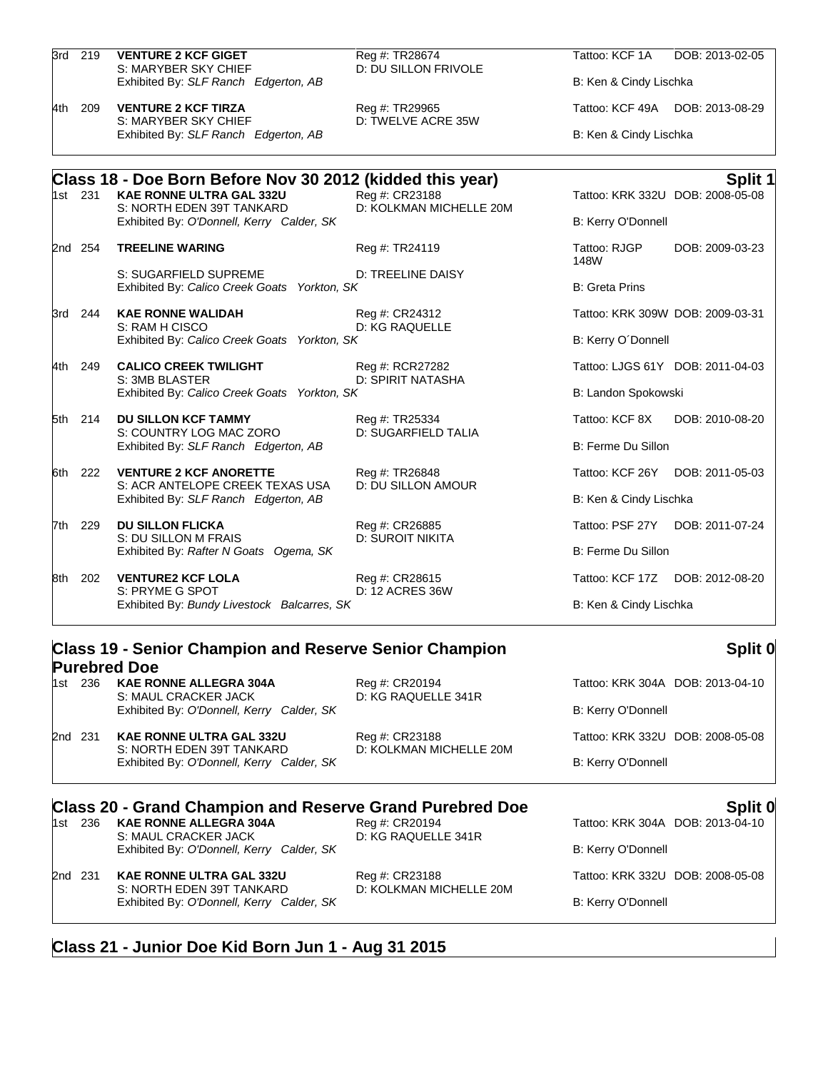|     | 3rd 219 | <b>VENTURE 2 KCF GIGET</b><br>S: MARYBER SKY CHIEF                      | Reg #: TR28674<br>D: DU SILLON FRIVOLE    | Tattoo: KCF 1A         | DOB: 2013-02-05                  |  |
|-----|---------|-------------------------------------------------------------------------|-------------------------------------------|------------------------|----------------------------------|--|
|     |         | Exhibited By: SLF Ranch Edgerton, AB                                    |                                           | B: Ken & Cindy Lischka |                                  |  |
| 4th | 209     | <b>VENTURE 2 KCF TIRZA</b><br>S: MARYBER SKY CHIEF                      | Reg #: TR29965<br>D: TWELVE ACRE 35W      |                        | Tattoo: KCF 49A DOB: 2013-08-29  |  |
|     |         | Exhibited By: SLF Ranch Edgerton, AB                                    |                                           | B: Ken & Cindy Lischka |                                  |  |
|     |         | Class 18 - Doe Born Before Nov 30 2012 (kidded this year)               |                                           |                        | Split 1                          |  |
|     | 1st 231 | <b>KAE RONNE ULTRA GAL 332U</b><br>S: NORTH EDEN 39T TANKARD            | Reg #: CR23188<br>D: KOLKMAN MICHELLE 20M |                        | Tattoo: KRK 332U DOB: 2008-05-08 |  |
|     |         | Exhibited By: O'Donnell, Kerry Calder, SK                               |                                           | B: Kerry O'Donnell     |                                  |  |
|     | 2nd 254 | <b>TREELINE WARING</b>                                                  | Reg #: TR24119                            | Tattoo: RJGP<br>148W   | DOB: 2009-03-23                  |  |
|     |         | S: SUGARFIELD SUPREME<br>Exhibited By: Calico Creek Goats Yorkton, SK   | D: TREELINE DAISY                         | <b>B: Greta Prins</b>  |                                  |  |
|     | 3rd 244 | <b>KAE RONNE WALIDAH</b><br>S: RAM H CISCO                              | Reg #: CR24312<br>D: KG RAQUELLE          |                        | Tattoo: KRK 309W DOB: 2009-03-31 |  |
|     |         | Exhibited By: Calico Creek Goats Yorkton, SK                            |                                           | B: Kerry O'Donnell     |                                  |  |
|     | 4th 249 | <b>CALICO CREEK TWILIGHT</b><br>S: 3MB BLASTER                          | Reg #: RCR27282<br>D: SPIRIT NATASHA      |                        | Tattoo: LJGS 61Y DOB: 2011-04-03 |  |
|     |         | Exhibited By: Calico Creek Goats Yorkton, SK                            |                                           | B: Landon Spokowski    |                                  |  |
|     | 5th 214 | <b>DU SILLON KCF TAMMY</b>                                              | Reg #: TR25334<br>D: SUGARFIELD TALIA     | Tattoo: KCF 8X         | DOB: 2010-08-20                  |  |
|     |         | S: COUNTRY LOG MAC ZORO<br>Exhibited By: SLF Ranch Edgerton, AB         |                                           | B: Ferme Du Sillon     |                                  |  |
| 6th | 222     | <b>VENTURE 2 KCF ANORETTE</b>                                           | Reg #: TR26848                            |                        | Tattoo: KCF 26Y DOB: 2011-05-03  |  |
|     |         | S: ACR ANTELOPE CREEK TEXAS USA<br>Exhibited By: SLF Ranch Edgerton, AB | D: DU SILLON AMOUR                        | B: Ken & Cindy Lischka |                                  |  |
|     | 7th 229 | <b>DU SILLON FLICKA</b><br>S: DU SILLON M FRAIS                         | Reg #: CR26885<br><b>D: SUROIT NIKITA</b> | Tattoo: PSF 27Y        | DOB: 2011-07-24                  |  |
|     |         | Exhibited By: Rafter N Goats Ogema, SK                                  |                                           | B: Ferme Du Sillon     |                                  |  |
|     | 8th 202 | <b>VENTURE2 KCF LOLA</b>                                                | Reg #: CR28615                            |                        | Tattoo: KCF 17Z DOB: 2012-08-20  |  |
|     |         | S: PRYME G SPOT<br>Exhibited By: Bundy Livestock Balcarres, SK          | D: 12 ACRES 36W                           |                        | B: Ken & Cindy Lischka           |  |
|     |         |                                                                         |                                           |                        |                                  |  |

#### **Class 19 - Senior Champion and Reserve Senior Champion Purebred Doe** 1st 236 **KAE RONNE ALLEGRA 304A** Reg #: CR20194 Tattoo: KRK 304A DOB: 2013-04-10 S: MAUL CRACKER JACK D: KG RAQUELLE 341R

Exhibited By: *O'Donnell, Kerry Calder, SK* B: Kerry O'Donnell 2nd 231 **KAE RONNE ULTRA GAL 332U** Reg #: CR23188 Tattoo: KRK 332U DOB: 2008-05-08<br>S: NORTH EDEN 39T TANKARD D: KOLKMAN MICHELLE 20M S: NORTH EDEN 39T TANKARD

Exhibited By: *O'Donnell, Kerry Calder, SK* B: Kerry O'Donnell B: Kerry O'Donnell

## **Class 20 - Grand Champion and Reserve Grand Purebred Doe Split 0**

S: MAUL CRACKER JACK Exhibited By: *O'Donnell, Kerry Calder, SK* B: Kerry O'Donnell

2nd 231 **KAE RONNE ULTRA GAL 332U** Reg #: CR23188 Tattoo: KRK 332U DOB: 2008-05-08 S: NORTH EDEN 39T TANKARD Exhibited By: O'Donnell, Kerry Calder, SK B: Kerry O'Donnell

**Split 0**

Reg #: CR20194 **CR20194** Tattoo: KRK 304A DOB: 2013-04-10<br>D: KG RAQUELLE 341R

### **Class 21 - Junior Doe Kid Born Jun 1 - Aug 31 2015**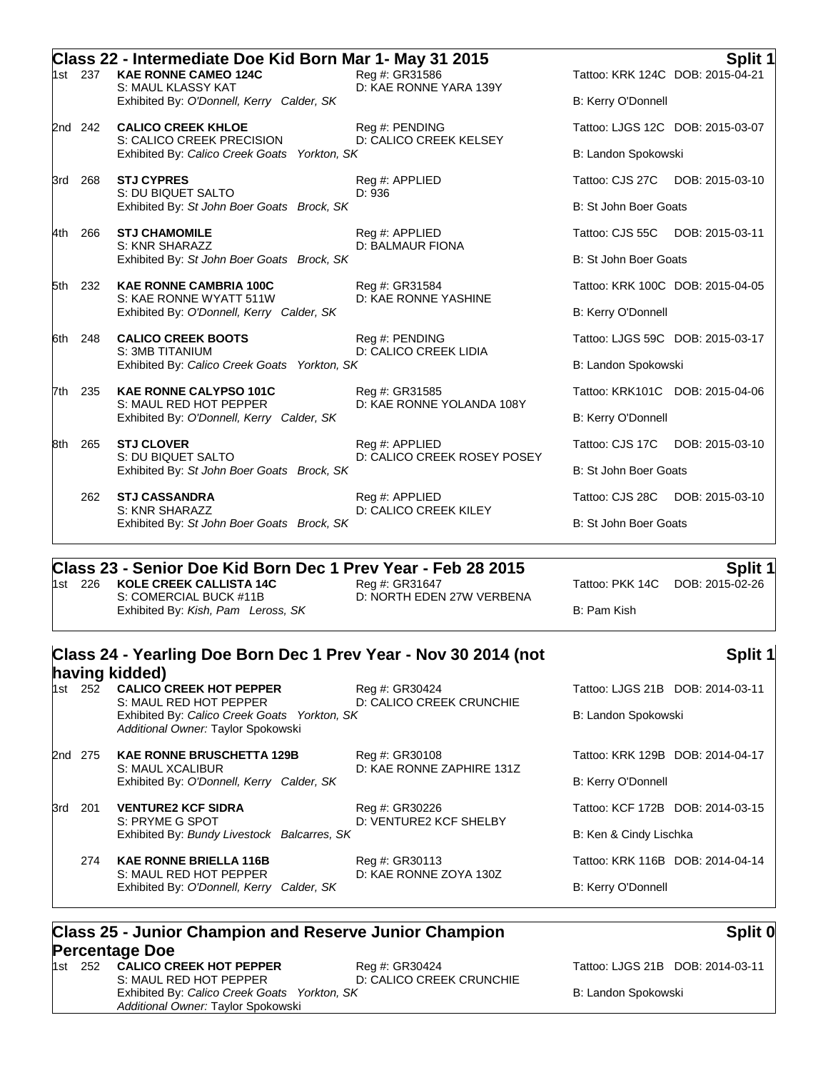|         |         | Class 22 - Intermediate Doe Kid Born Mar 1- May 31 2015                                               |                                          |                       | Split 1                          |
|---------|---------|-------------------------------------------------------------------------------------------------------|------------------------------------------|-----------------------|----------------------------------|
|         | 1st 237 | <b>KAE RONNE CAMEO 124C</b><br>S: MAUL KLASSY KAT                                                     | Reg #: GR31586<br>D: KAE RONNE YARA 139Y |                       | Tattoo: KRK 124C DOB: 2015-04-21 |
|         |         | Exhibited By: O'Donnell, Kerry Calder, SK                                                             |                                          | B: Kerry O'Donnell    |                                  |
| 2nd 242 |         | <b>CALICO CREEK KHLOE</b>                                                                             | Reg #: PENDING                           |                       | Tattoo: LJGS 12C DOB: 2015-03-07 |
|         |         | S: CALICO CREEK PRECISION<br>Exhibited By: Calico Creek Goats Yorkton, SK                             | D: CALICO CREEK KELSEY                   | B: Landon Spokowski   |                                  |
| 3rd     | 268     | <b>STJ CYPRES</b><br>S: DU BIQUET SALTO                                                               | Reg #: APPLIED<br>D: 936                 | Tattoo: CJS 27C       | DOB: 2015-03-10                  |
|         |         | Exhibited By: St John Boer Goats Brock, SK                                                            |                                          | B: St John Boer Goats |                                  |
| 4th     | 266     | <b>STJ CHAMOMILE</b><br>S: KNR SHARAZZ                                                                | Reg #: APPLIED                           | Tattoo: CJS 55C       | DOB: 2015-03-11                  |
|         |         | Exhibited By: St John Boer Goats Brock, SK                                                            | D: BALMAUR FIONA                         | B: St John Boer Goats |                                  |
| 5th 232 |         | <b>KAE RONNE CAMBRIA 100C</b><br>S: KAE RONNE WYATT 511W<br>Exhibited By: O'Donnell, Kerry Calder, SK | Reg #: GR31584<br>D: KAE RONNE YASHINE   |                       | Tattoo: KRK 100C DOB: 2015-04-05 |
|         |         |                                                                                                       |                                          | B: Kerry O'Donnell    |                                  |
|         | 6th 248 | <b>CALICO CREEK BOOTS</b>                                                                             | Reg #: PENDING<br>D: CALICO CREEK LIDIA  |                       | Tattoo: LJGS 59C DOB: 2015-03-17 |
|         |         | S: 3MB TITANIUM<br>Exhibited By: Calico Creek Goats Yorkton, SK                                       |                                          | B: Landon Spokowski   |                                  |
| l7th    | 235     | <b>KAE RONNE CALYPSO 101C</b>                                                                         | Reg #: GR31585                           |                       | Tattoo: KRK101C DOB: 2015-04-06  |
|         |         | S: MAUL RED HOT PEPPER<br>Exhibited By: O'Donnell, Kerry Calder, SK                                   | D: KAE RONNE YOLANDA 108Y                | B: Kerry O'Donnell    |                                  |
| 8th     | 265     | <b>STJ CLOVER</b><br>S: DU BIQUET SALTO<br>Exhibited By: St John Boer Goats Brock, SK                 | Reg #: APPLIED                           | Tattoo: CJS 17C       | DOB: 2015-03-10                  |
|         |         |                                                                                                       | D: CALICO CREEK ROSEY POSEY              | B: St John Boer Goats |                                  |
|         | 262     | <b>STJ CASSANDRA</b>                                                                                  | Reg #: APPLIED                           |                       | Tattoo: CJS 28C DOB: 2015-03-10  |
|         |         | S: KNR SHARAZZ<br>Exhibited By: St John Boer Goats Brock, SK                                          | D: CALICO CREEK KILEY                    | B: St John Boer Goats |                                  |

## **Class 23 - Senior Doe Kid Born Dec 1 Prev Year - Feb 28 2015 Split 1**

1st 226 **KOLE CREEK CALLISTA 14C** Reg #: GR31647 Tattoo: PKK 14C DOB: 2015-02-26 Exhibited By: *Kish, Pam Leross, SK* B: Pam Kish

D: NORTH EDEN 27W VERBENA

**Split 1**

# **Class 24 - Yearling Doe Born Dec 1 Prev Year - Nov 30 2014 (not**

#### **having kidded)** Reg #: GR30424 Tattoo: LJGS 21B DOB: 2014-03-11 S: MAUL RED HOT PEPPER D: CALICO CREEK CRUNCHIE Exhibited By: *Calico Creek Goats* Yorkton, SK B: Landon Spokowski *Additional Owner:* Taylor Spokowski 2nd 275 **KAE RONNE BRUSCHETTA 129B** Reg #: GR30108 Tattoo: KRK 129B DOB: 2014-04-17 S: MAUL XCALIBUR D: KAE RONNE ZAPHIRE 131Z Exhibited By: *O'Donnell, Kerry Calder, SK* B: Kerry O'Donnell 3rd 201 **VENTURE2 KCF SIDRA** Reg #: GR30226 Tattoo: KCF 172B DOB: 2014-03-15 S: PRYME G SPOT D: VENTURE2 KCF SHELBY Exhibited By: *Bundy Livestock Balcarres, SK* B: Ken & Cindy Lischka 274 **KAE RONNE BRIELLA 116B** Reg #: GR30113 Tattoo: KRK 116B DOB: 2014-04-14 S: MAUL RED HOT PEPPER D: KAE RONNE ZOYA 130Z Exhibited By: *O'Donnell, Kerry Calder, SK* B: Kerry O'Donnell

#### **Class 25 - Junior Champion and Reserve Junior Champion Percentage Doe**

1st 252 **CALICO CREEK HOT PEPPER** Reg #: GR30424 Tattoo: LJGS 21B DOB: 2014-03-11 S: MAUL RED HOT PEPPER D: CALICO CREEK CRUNCHIE Exhibited By: *Calico Creek Goats Yorkton, SK* B: Landon Spokowski *Additional Owner:* Taylor Spokowski

### **Split 0**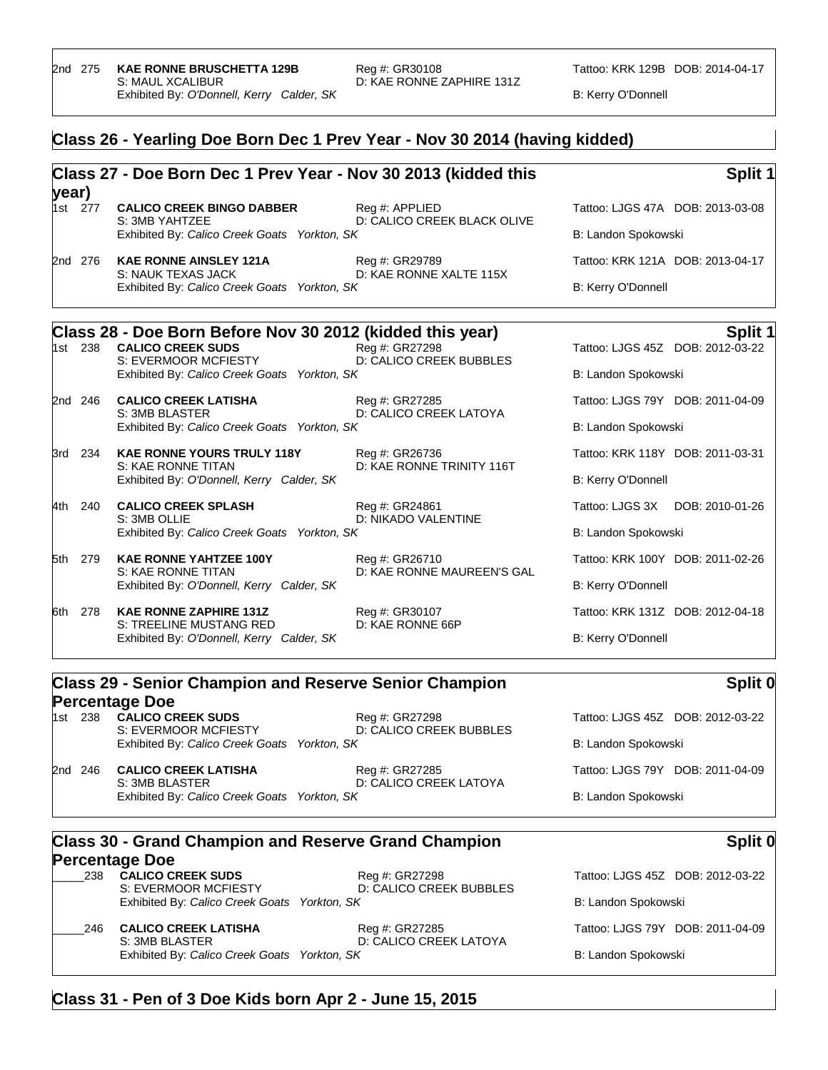#### **Class 26 - Yearling Doe Born Dec 1 Prev Year - Nov 30 2014 (having kidded)**

#### **Class 27 - Doe Born Dec 1 Prev Year - Nov 30 2013 (kidded this year)**<br><sup>1st 277</sup> **Split 1 CALICO CREEK BINGO DABBER** Reg #: APPLIED Tattoo: LJGS 47A DOB: 2013-03-08<br>S: 3MB YAHTZEE **DESILY DE CALICO CREEK BLACK OLIVE** D: CALICO CREEK BLACK OLIVE Exhibited By: *Calico Creek Goats Yorkton, SK* B: Landon Spokowski 2nd 276 **KAE RONNE AINSLEY 121A** Reg #: GR29789 Tattoo: KRK 121A DOB: 2013-04-17 S: NAUK TEXAS JACK D: KAE RONNE XALTE 115X Exhibited By: *Calico Creek Goats Yorkton, SK* B: Kerry O'Donnell **Class 28 - Doe Born Before Nov 30 2012 (kidded this year) Split 1 Split 1 Split 1 Instead this year Split 1 Instead this 1 Split 1 Instead this 1 Split 1 Instead is the U.S. 1008: 2012-03-22 Instead** Tattoo: LJGS 45Z DOB: 2012-03-22 S: EVERMOOR MCFIESTY D: CALICO CREEK BUBBLES Exhibited By: *Calico Creek Goats Yorkton, SK* B: Landon Spokowski 2nd 246 **CALICO CREEK LATISHA** Reg #: GR27285 Tattoo: LJGS 79Y DOB: 2011-04-09 S: 3MB BLASTER D: CALICO CREEK LATOYA Exhibited By: *Calico Creek Goats* Yorkton, SK B: Landon Spokowski 3rd 234 **KAE RONNE YOURS TRULY 118Y** Reg #: GR26736 Tattoo: KRK 118Y DOB: 2011-03-31 S: KAE RONNE TITAN D: KAE RONNE TRINITY 116T Exhibited By: *O'Donnell, Kerry Calder, SK* B: Kerry O'Donnell 4th 240 **CALICO CREEK SPLASH** Reg #: GR24861 Tattoo: LJGS 3X DOB: 2010-01-26 S: 3MB OLLIE D: NIKADO VALENTINE Exhibited By: *Calico Creek Goats Yorkton, SK* B: Landon Spokowski 5th 279 **KAE RONNE YAHTZEE 100Y** Reg #: GR26710 Tattoo: KRK 100Y DOB: 2011-02-26 S: KAE RONNE TITAN D: KAE RONNE MAUREEN'S GAL Exhibited By: *O'Donnell, Kerry Calder, SK* B: Kerry O'Donnell 6th 278 **KAE RONNE ZAPHIRE 131Z** Reg #: GR30107 Tattoo: KRK 131Z DOB: 2012-04-18<br>S: TREELINE MUSTANG RED D: KAE RONNE 66P S: TREELINE MUSTANG RED Exhibited By: *O'Donnell, Kerry Calder, SK* B: Kerry O'Donnell

#### **Class 29 - Senior Champion and Reserve Senior Champion Percentage Doe**

1st 238 **CALICO CREEK SUDS** Reg #: GR27298 Tattoo: LJGS 45Z DOB: 2012-03-22 S: EVERMOOR MCFIESTY D: CALICO CREEK BUBBLES Exhibited By: *Calico Creek Goats Yorkton, SK* B: Landon Spokowski 2nd 246 **CALICO CREEK LATISHA** Reg #: GR27285 Tattoo: LJGS 79Y DOB: 2011-04-09

S: 3MB BLASTER D: CALICO CREEK LATOYA Exhibited By: *Calico Creek Goats Yorkton, SK* B: Landon Spokowski

## **Class 30 - Grand Champion and Reserve Grand Champion Percentage Doe**<br>**Percentage Doe**<br>CALICO CREEK SUDS

| 200 | <b>UALIUU UNEEN JU</b>                  |
|-----|-----------------------------------------|
|     | S: EVERMOOR MCF<br>Exhibited By: Calico |
|     |                                         |

\_\_\_\_\_238 **CALICO CREEK SUDS** Reg #: GR27298 Tattoo: LJGS 45Z DOB: 2012-03-22 FIESTY D: CALICO CREEK BUBBLES Exhibited By: *Calico Creek Goats Yorkton, SK* B: Landon Spokowski

\_\_\_\_\_246 **CALICO CREEK LATISHA** Reg #: GR27285 Tattoo: LJGS 79Y DOB: 2011-04-09 S: 3MB BLASTER D: CALICO CREEK LATOYA Exhibited By: *Calico Creek Goats Yorkton, SK* B: Landon Spokowski

**Split 0**

**Split 0**

#### **Class 31 - Pen of 3 Doe Kids born Apr 2 - June 15, 2015**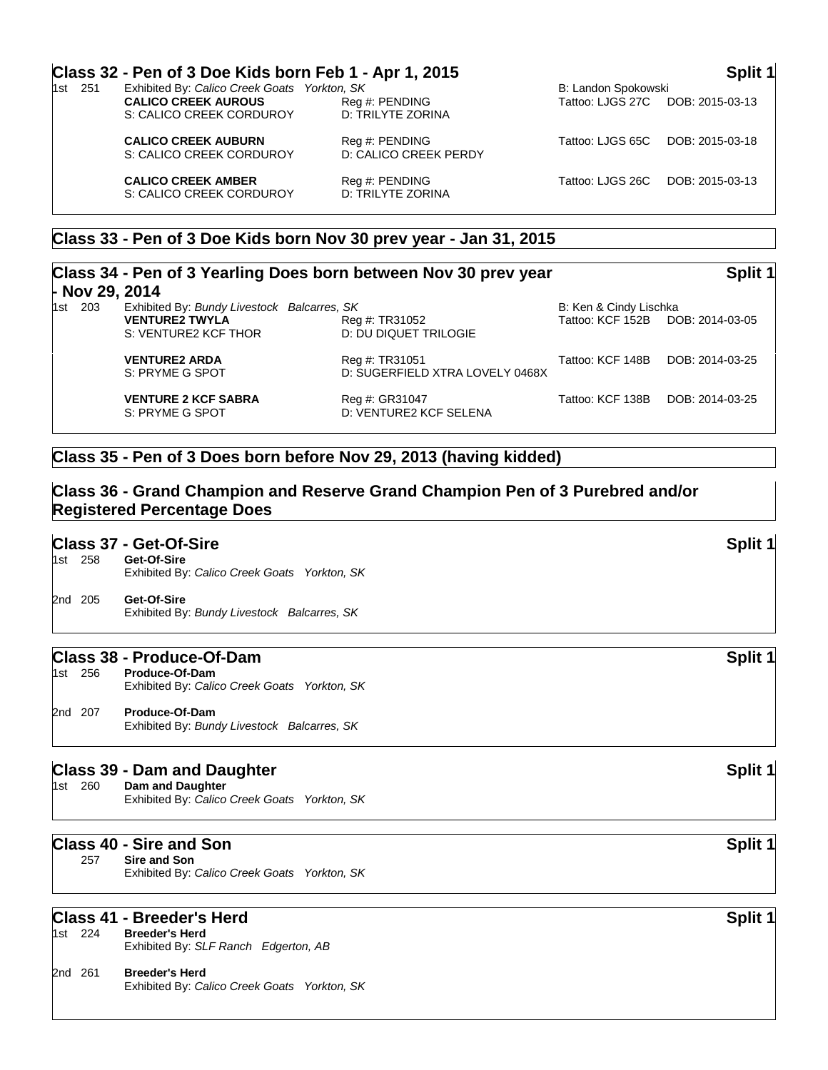|                | Class 32 - Pen of 3 Doe Kids born Feb 1 - Apr 1, 2015             |                                         |                     | Split 1         |
|----------------|-------------------------------------------------------------------|-----------------------------------------|---------------------|-----------------|
| 1st 251        | Exhibited By: Calico Creek Goats Yorkton, SK                      |                                         | B: Landon Spokowski |                 |
|                | <b>CALICO CREEK AUROUS</b><br>S: CALICO CREEK CORDUROY            | Reg #: PENDING<br>D: TRILYTE ZORINA     | Tattoo: LJGS 27C    | DOB: 2015-03-13 |
|                | <b>CALICO CREEK AUBURN</b><br>S: CALICO CREEK CORDUROY            | Reg #: PENDING<br>D: CALICO CREEK PERDY | Tattoo: LJGS 65C    | DOB: 2015-03-18 |
|                | <b>CALICO CREEK AMBER</b><br>S: CALICO CREEK CORDUROY             | Reg #: PENDING<br>D: TRILYTE ZORINA     | Tattoo: LJGS 26C    | DOB: 2015-03-13 |
|                | Class 33 - Pen of 3 Doe Kids born Nov 30 prev year - Jan 31, 2015 |                                         |                     |                 |
| - Nov 29, 2014 | Class 34 - Pen of 3 Yearling Does born between Nov 30 prev year   |                                         |                     | Split 1         |

| 1st 203 | Exhibited By: Bundy Livestock Balcarres, SK<br><b>VENTURE2 TWYLA</b><br>S: VENTURE2 KCF THOR | Reg #: TR31052<br>D: DU DIQUET TRILOGIE           | B: Ken & Cindy Lischka<br>Tattoo: KCF 152B DOB: 2014-03-05 |                 |
|---------|----------------------------------------------------------------------------------------------|---------------------------------------------------|------------------------------------------------------------|-----------------|
|         | <b>VENTURE2 ARDA</b><br>S: PRYME G SPOT                                                      | Reg #: TR31051<br>D: SUGERFIELD XTRA LOVELY 0468X | Tattoo: KCF 148B                                           | DOB: 2014-03-25 |
|         | <b>VENTURE 2 KCF SABRA</b><br>S: PRYME G SPOT                                                | Reg #: GR31047<br>D: VENTURE2 KCF SELENA          | Tattoo: KCF 138B                                           | DOB: 2014-03-25 |

#### **Class 35 - Pen of 3 Does born before Nov 29, 2013 (having kidded)**

### **Class 36 - Grand Champion and Reserve Grand Champion Pen of 3 Purebred and/or Registered Percentage Does**

#### **Class 37 - Get-Of-Sire Split 1**

| 1st 258 | Get-Of-Sire<br>Exhibited By: Calico Creek Goats Yorkton, SK |
|---------|-------------------------------------------------------------|
| 2nd 205 | Get-Of-Sire<br>Exhibited By: Bundy Livestock Balcarres, SK  |

## **Class 38 - Produce-Of-Dam Split 1** Split 1

Produce-Of-Dam Exhibited By: *Calico Creek Goats Yorkton, SK* 2nd 207 **Produce-Of-Dam**

Exhibited By: *Bundy Livestock Balcarres, SK*

### **Class 39 - Dam and Daughter Split 1 Class 39 - Dam and Daughter Split 1**

1st 260 **Dam and Daughter** Exhibited By: *Calico Creek Goats Yorkton, SK*

#### **Class 40 - Sire and Son Split 1**

257 **Sire and Son** Exhibited By: *Calico Creek Goats Yorkton, SK*

## **Class 41 - Breeder's Herd Split 1**

**Breeder's Herd** Exhibited By: *SLF Ranch Edgerton, AB*

#### 2nd 261 **Breeder's Herd** Exhibited By: *Calico Creek Goats Yorkton, SK*